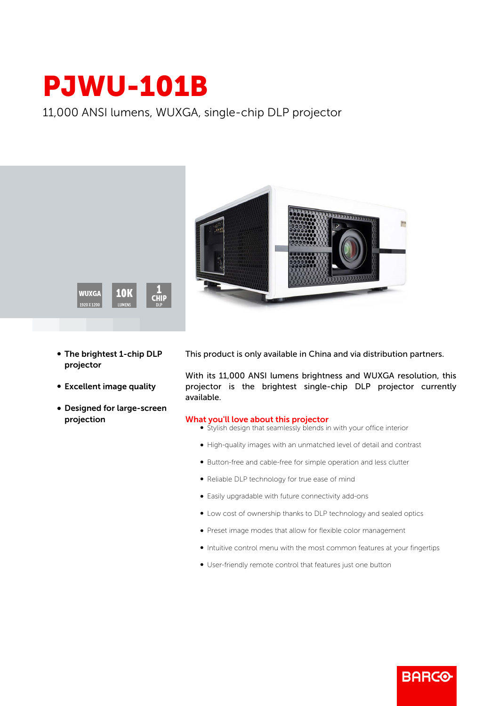## PJWU-101B

11,000 ANSI lumens, WUXGA, single-chip DLP projector





- The brightest 1-chip DLP projector
- Excellent image quality
- Designed for large-screen projection

This product is only available in China and via distribution partners.

With its 11,000 ANSI lumens brightness and WUXGA resolution, this projector is the brightest single-chip DLP projector currently available.

## What you'll love about this projector

- Stylish design that seamlessly blends in with your office interior
- b High-quality images with an unmatched level of detail and contrast
- b Button-free and cable-free for simple operation and less clutter
- Reliable DLP technology for true ease of mind
- Easily upgradable with future connectivity add-ons
- $\bullet$  Low cost of ownership thanks to DLP technology and sealed optics
- b Preset image modes that allow for flexible color management
- b Intuitive control menu with the most common features at your fingertips

**BARCO** 

b User-friendly remote control that features just one button